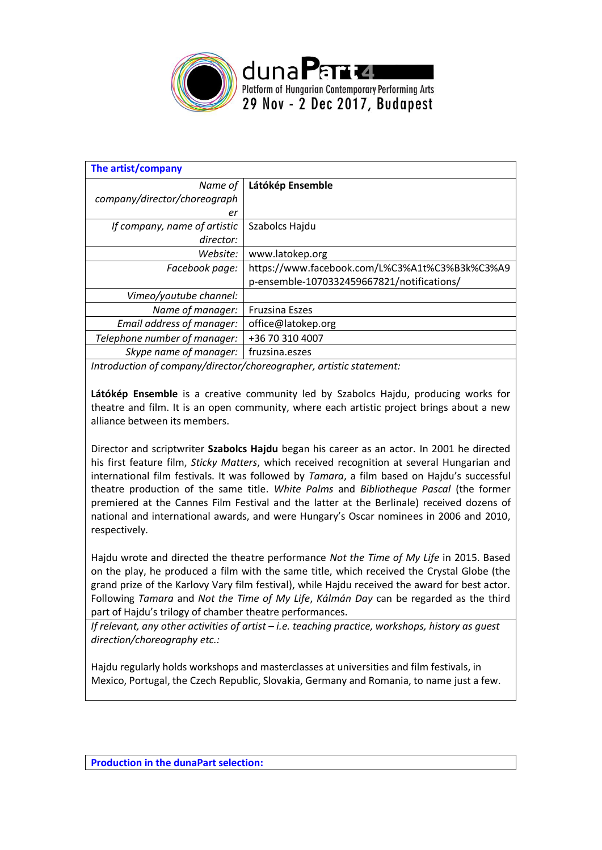

| Látókép Ensemble                               |
|------------------------------------------------|
|                                                |
|                                                |
| Szabolcs Hajdu                                 |
|                                                |
| www.latokep.org                                |
| https://www.facebook.com/L%C3%A1t%C3%B3k%C3%A9 |
| p-ensemble-1070332459667821/notifications/     |
|                                                |
| <b>Fruzsina Eszes</b>                          |
| office@latokep.org                             |
| +36 70 310 4007                                |
| fruzsina.eszes                                 |
|                                                |

*Introduction of company/director/choreographer, artistic statement:*

**Látókép Ensemble** is a creative community led by Szabolcs Hajdu, producing works for theatre and film. It is an open community, where each artistic project brings about a new alliance between its members.

Director and scriptwriter **Szabolcs Hajdu** began his career as an actor. In 2001 he directed his first feature film, *Sticky Matters*, which received recognition at several Hungarian and international film festivals. It was followed by *Tamara*, a film based on Hajdu's successful theatre production of the same title. *White Palms* and *Bibliotheque Pascal* (the former premiered at the Cannes Film Festival and the latter at the Berlinale) received dozens of national and international awards, and were Hungary's Oscar nominees in 2006 and 2010, respectively.

Hajdu wrote and directed the theatre performance *Not the Time of My Life* in 2015. Based on the play, he produced a film with the same title, which received the Crystal Globe (the grand prize of the Karlovy Vary film festival), while Hajdu received the award for best actor. Following *Tamara* and *Not the Time of My Life*, *Kálmán Day* can be regarded as the third part of Hajdu's trilogy of chamber theatre performances.

*If relevant, any other activities of artist – i.e. teaching practice, workshops, history as guest direction/choreography etc.:*

Hajdu regularly holds workshops and masterclasses at universities and film festivals, in Mexico, Portugal, the Czech Republic, Slovakia, Germany and Romania, to name just a few.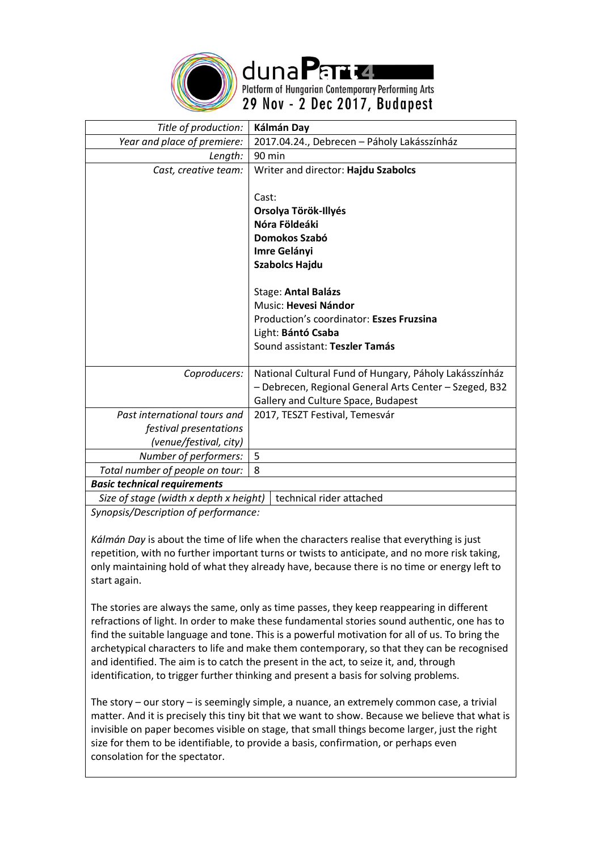

dunaPard Platform of Hungarian Contemporary Performing Arts 29 Nov - 2 Dec 2017, Budapest

| Title of production:                   | Kálmán Day                                             |
|----------------------------------------|--------------------------------------------------------|
| Year and place of premiere:            | 2017.04.24., Debrecen - Páholy Lakásszínház            |
| Length:                                | 90 min                                                 |
| Cast, creative team:                   | Writer and director: Hajdu Szabolcs                    |
|                                        |                                                        |
|                                        | Cast:                                                  |
|                                        | Orsolya Török-Illyés                                   |
|                                        | Nóra Földeáki                                          |
|                                        | Domokos Szabó                                          |
|                                        | Imre Gelányi                                           |
|                                        | <b>Szabolcs Hajdu</b>                                  |
|                                        |                                                        |
|                                        | Stage: Antal Balázs                                    |
|                                        | Music: Hevesi Nándor                                   |
|                                        | Production's coordinator: Eszes Fruzsina               |
|                                        | Light: Bántó Csaba                                     |
|                                        | Sound assistant: Teszler Tamás                         |
|                                        |                                                        |
| Coproducers:                           | National Cultural Fund of Hungary, Páholy Lakásszínház |
|                                        | - Debrecen, Regional General Arts Center - Szeged, B32 |
|                                        | Gallery and Culture Space, Budapest                    |
| Past international tours and           | 2017, TESZT Festival, Temesvár                         |
| festival presentations                 |                                                        |
| (venue/festival, city)                 |                                                        |
| Number of performers:                  | 5                                                      |
| Total number of people on tour:        | 8                                                      |
| <b>Basic technical requirements</b>    |                                                        |
| Size of stage (width x depth x height) | technical rider attached                               |

*Synopsis/Description of performance:*

*Kálmán Day* is about the time of life when the characters realise that everything is just repetition, with no further important turns or twists to anticipate, and no more risk taking, only maintaining hold of what they already have, because there is no time or energy left to start again.

The stories are always the same, only as time passes, they keep reappearing in different refractions of light. In order to make these fundamental stories sound authentic, one has to find the suitable language and tone. This is a powerful motivation for all of us. To bring the archetypical characters to life and make them contemporary, so that they can be recognised and identified. The aim is to catch the present in the act, to seize it, and, through identification, to trigger further thinking and present a basis for solving problems.

The story – our story – is seemingly simple, a nuance, an extremely common case, a trivial matter. And it is precisely this tiny bit that we want to show. Because we believe that what is invisible on paper becomes visible on stage, that small things become larger, just the right size for them to be identifiable, to provide a basis, confirmation, or perhaps even consolation for the spectator.